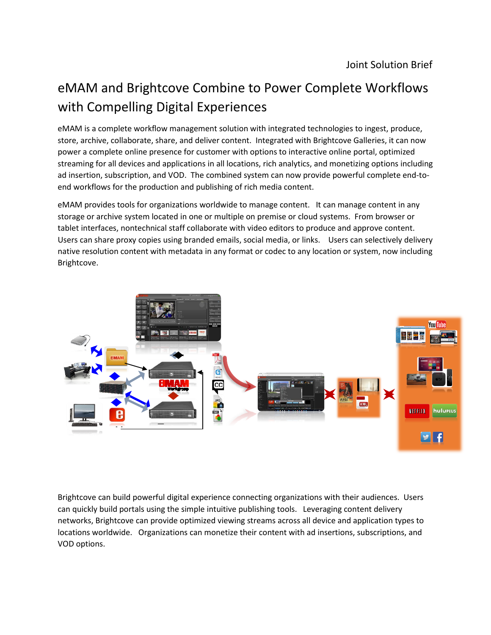## eMAM and Brightcove Combine to Power Complete Workflows with Compelling Digital Experiences

eMAM is a complete workflow management solution with integrated technologies to ingest, produce, store, archive, collaborate, share, and deliver content. Integrated with Brightcove Galleries, it can now power a complete online presence for customer with options to interactive online portal, optimized streaming for all devices and applications in all locations, rich analytics, and monetizing options including ad insertion, subscription, and VOD. The combined system can now provide powerful complete end-toend workflows for the production and publishing of rich media content.

eMAM provides tools for organizations worldwide to manage content. It can manage content in any storage or archive system located in one or multiple on premise or cloud systems. From browser or tablet interfaces, nontechnical staff collaborate with video editors to produce and approve content. Users can share proxy copies using branded emails, social media, or links. Users can selectively delivery native resolution content with metadata in any format or codec to any location or system, now including Brightcove.



Brightcove can build powerful digital experience connecting organizations with their audiences. Users can quickly build portals using the simple intuitive publishing tools. Leveraging content delivery networks, Brightcove can provide optimized viewing streams across all device and application types to locations worldwide. Organizations can monetize their content with ad insertions, subscriptions, and VOD options.